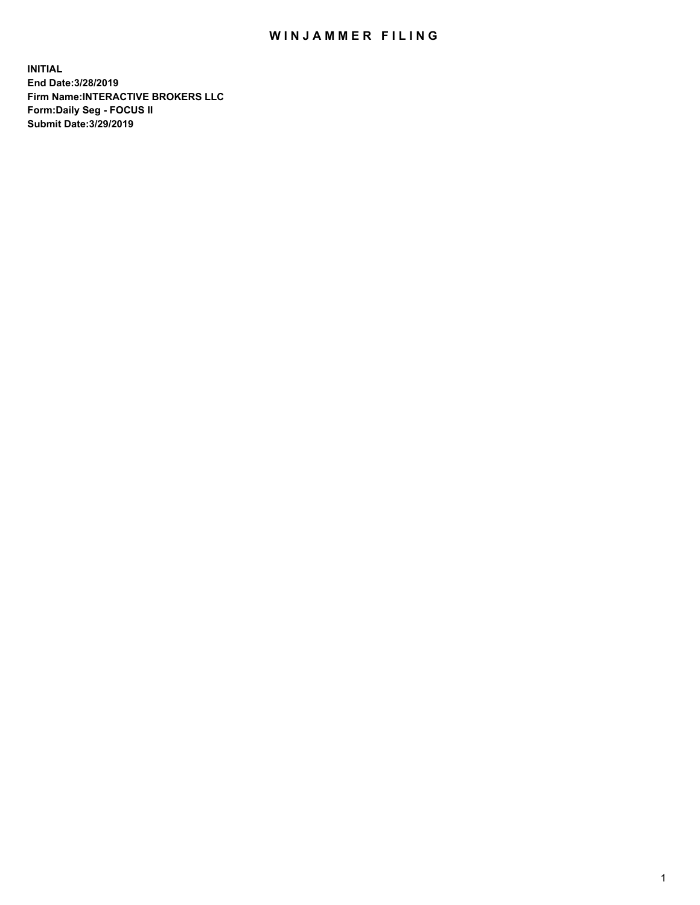## WIN JAMMER FILING

**INITIAL End Date:3/28/2019 Firm Name:INTERACTIVE BROKERS LLC Form:Daily Seg - FOCUS II Submit Date:3/29/2019**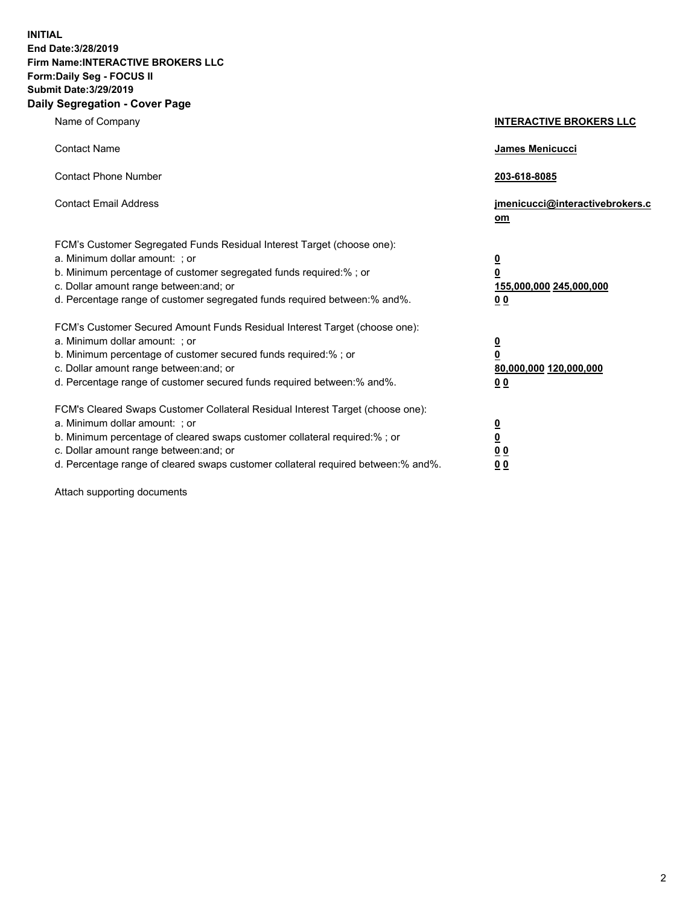**INITIAL End Date:3/28/2019 Firm Name:INTERACTIVE BROKERS LLC Form:Daily Seg - FOCUS II Submit Date:3/29/2019 Daily Segregation - Cover Page**

| Name of Company                                                                                                                                                                                                                                                                                                                | <b>INTERACTIVE BROKERS LLC</b>                                                                  |
|--------------------------------------------------------------------------------------------------------------------------------------------------------------------------------------------------------------------------------------------------------------------------------------------------------------------------------|-------------------------------------------------------------------------------------------------|
| <b>Contact Name</b>                                                                                                                                                                                                                                                                                                            | James Menicucci                                                                                 |
| <b>Contact Phone Number</b>                                                                                                                                                                                                                                                                                                    | 203-618-8085                                                                                    |
| <b>Contact Email Address</b>                                                                                                                                                                                                                                                                                                   | jmenicucci@interactivebrokers.c<br>om                                                           |
| FCM's Customer Segregated Funds Residual Interest Target (choose one):<br>a. Minimum dollar amount: ; or<br>b. Minimum percentage of customer segregated funds required:% ; or<br>c. Dollar amount range between: and; or<br>d. Percentage range of customer segregated funds required between:% and%.                         | $\overline{\mathbf{0}}$<br>$\overline{\mathbf{0}}$<br>155,000,000 245,000,000<br>0 <sub>0</sub> |
| FCM's Customer Secured Amount Funds Residual Interest Target (choose one):<br>a. Minimum dollar amount: ; or<br>b. Minimum percentage of customer secured funds required:% ; or<br>c. Dollar amount range between: and; or<br>d. Percentage range of customer secured funds required between:% and%.                           | $\overline{\mathbf{0}}$<br>0<br>80,000,000 120,000,000<br>0 <sub>0</sub>                        |
| FCM's Cleared Swaps Customer Collateral Residual Interest Target (choose one):<br>a. Minimum dollar amount: ; or<br>b. Minimum percentage of cleared swaps customer collateral required:% ; or<br>c. Dollar amount range between: and; or<br>d. Percentage range of cleared swaps customer collateral required between:% and%. | $\overline{\mathbf{0}}$<br><u>0</u><br>$\underline{0}$ $\underline{0}$<br>00                    |

Attach supporting documents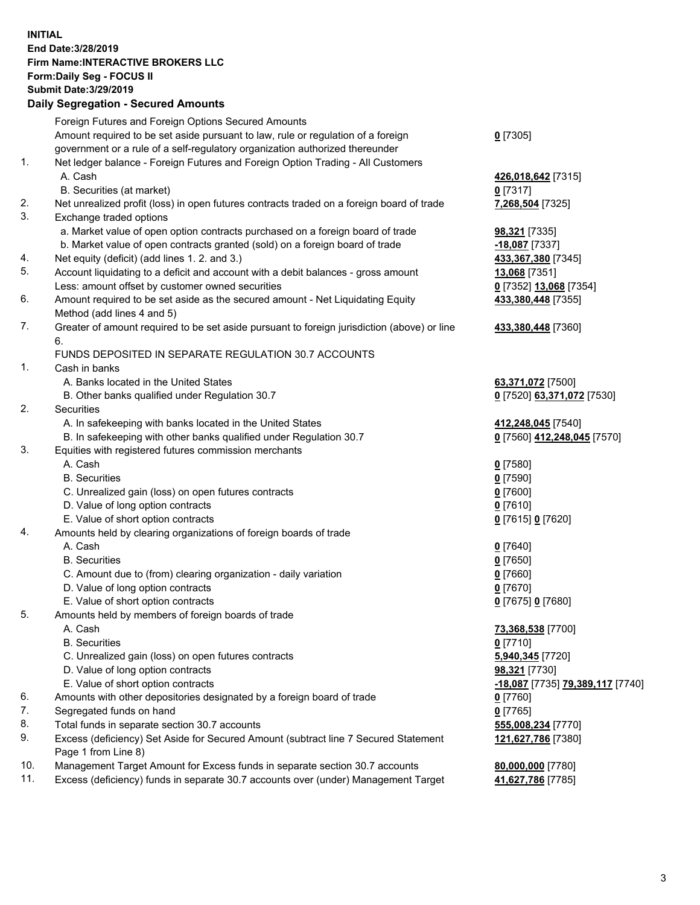## **INITIAL End Date:3/28/2019 Firm Name:INTERACTIVE BROKERS LLC Form:Daily Seg - FOCUS II Submit Date:3/29/2019 Daily Segregation - Secured Amounts**

|     | Daily Segregation - Secured Aniounts                                                                 |                                  |
|-----|------------------------------------------------------------------------------------------------------|----------------------------------|
|     | Foreign Futures and Foreign Options Secured Amounts                                                  |                                  |
|     | Amount required to be set aside pursuant to law, rule or regulation of a foreign                     | $0$ [7305]                       |
|     | government or a rule of a self-regulatory organization authorized thereunder                         |                                  |
| 1.  | Net ledger balance - Foreign Futures and Foreign Option Trading - All Customers                      |                                  |
|     | A. Cash                                                                                              | 426,018,642 [7315]               |
|     | B. Securities (at market)                                                                            | $0$ [7317]                       |
| 2.  | Net unrealized profit (loss) in open futures contracts traded on a foreign board of trade            | 7,268,504 [7325]                 |
| 3.  | Exchange traded options                                                                              |                                  |
|     | a. Market value of open option contracts purchased on a foreign board of trade                       | 98,321 [7335]                    |
|     | b. Market value of open contracts granted (sold) on a foreign board of trade                         | $-18,087$ [7337]                 |
| 4.  | Net equity (deficit) (add lines 1.2. and 3.)                                                         | 433,367,380 [7345]               |
| 5.  | Account liquidating to a deficit and account with a debit balances - gross amount                    | 13,068 [7351]                    |
|     | Less: amount offset by customer owned securities                                                     | 0 [7352] 13,068 [7354]           |
| 6.  | Amount required to be set aside as the secured amount - Net Liquidating Equity                       | 433,380,448 [7355]               |
|     | Method (add lines 4 and 5)                                                                           |                                  |
| 7.  | Greater of amount required to be set aside pursuant to foreign jurisdiction (above) or line          | 433,380,448 [7360]               |
|     | 6.                                                                                                   |                                  |
|     | FUNDS DEPOSITED IN SEPARATE REGULATION 30.7 ACCOUNTS                                                 |                                  |
| 1.  | Cash in banks                                                                                        |                                  |
|     | A. Banks located in the United States                                                                | 63,371,072 [7500]                |
|     | B. Other banks qualified under Regulation 30.7                                                       | 0 [7520] 63,371,072 [7530]       |
| 2.  | Securities                                                                                           |                                  |
|     | A. In safekeeping with banks located in the United States                                            | 412,248,045 [7540]               |
|     | B. In safekeeping with other banks qualified under Regulation 30.7                                   | 0 [7560] 412,248,045 [7570]      |
| 3.  | Equities with registered futures commission merchants                                                |                                  |
|     | A. Cash                                                                                              | $0$ [7580]                       |
|     | <b>B.</b> Securities                                                                                 | $0$ [7590]                       |
|     | C. Unrealized gain (loss) on open futures contracts                                                  | $0$ [7600]                       |
|     | D. Value of long option contracts                                                                    | $0$ [7610]                       |
|     | E. Value of short option contracts                                                                   | 0 [7615] 0 [7620]                |
| 4.  | Amounts held by clearing organizations of foreign boards of trade                                    |                                  |
|     | A. Cash                                                                                              | $0$ [7640]                       |
|     | <b>B.</b> Securities                                                                                 | $0$ [7650]                       |
|     | C. Amount due to (from) clearing organization - daily variation<br>D. Value of long option contracts | $0$ [7660]                       |
|     |                                                                                                      | $0$ [7670]                       |
| 5.  | E. Value of short option contracts                                                                   | 0 [7675] 0 [7680]                |
|     | Amounts held by members of foreign boards of trade<br>A. Cash                                        | 73,368,538 [7700]                |
|     | <b>B.</b> Securities                                                                                 | $0$ [7710]                       |
|     | C. Unrealized gain (loss) on open futures contracts                                                  | 5,940,345 [7720]                 |
|     | D. Value of long option contracts                                                                    | 98,321 [7730]                    |
|     | E. Value of short option contracts                                                                   | -18,087 [7735] 79,389,117 [7740] |
| 6.  | Amounts with other depositories designated by a foreign board of trade                               | 0 [7760]                         |
| 7.  | Segregated funds on hand                                                                             | $0$ [7765]                       |
| 8.  | Total funds in separate section 30.7 accounts                                                        | 555,008,234 [7770]               |
| 9.  | Excess (deficiency) Set Aside for Secured Amount (subtract line 7 Secured Statement                  | 121,627,786 [7380]               |
|     | Page 1 from Line 8)                                                                                  |                                  |
| 10. | Management Target Amount for Excess funds in separate section 30.7 accounts                          | 80,000,000 [7780]                |
| 11. | Excess (deficiency) funds in separate 30.7 accounts over (under) Management Target                   | 41,627,786 [7785]                |
|     |                                                                                                      |                                  |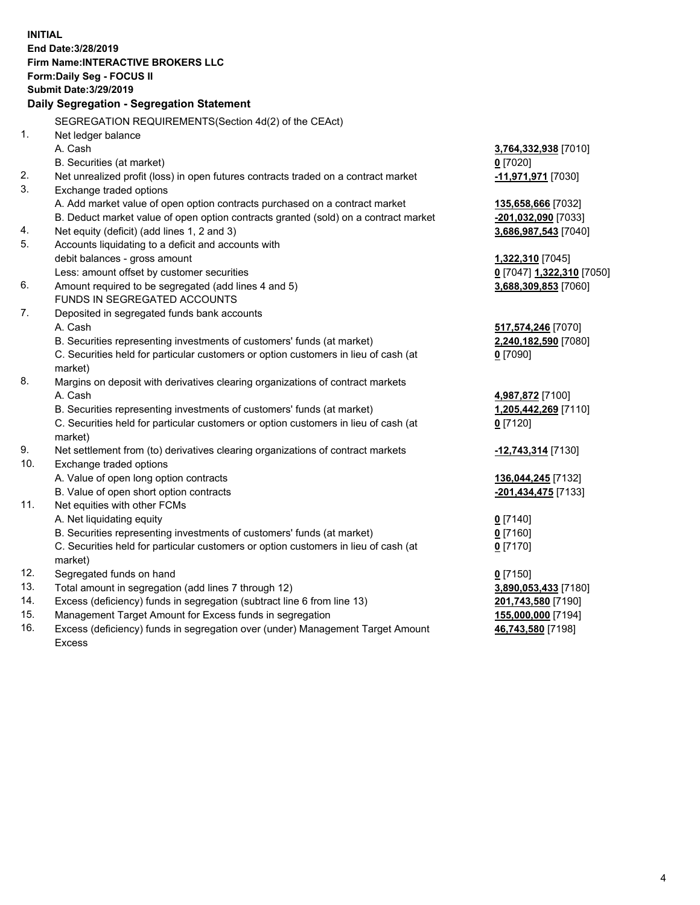**INITIAL End Date:3/28/2019 Firm Name:INTERACTIVE BROKERS LLC Form:Daily Seg - FOCUS II Submit Date:3/29/2019 Daily Segregation - Segregation Statement** SEGREGATION REQUIREMENTS(Section 4d(2) of the CEAct) 1. Net ledger balance A. Cash **3,764,332,938** [7010] B. Securities (at market) **0** [7020] 2. Net unrealized profit (loss) in open futures contracts traded on a contract market **-11,971,971** [7030] 3. Exchange traded options A. Add market value of open option contracts purchased on a contract market **135,658,666** [7032] B. Deduct market value of open option contracts granted (sold) on a contract market **-201,032,090** [7033] 4. Net equity (deficit) (add lines 1, 2 and 3) **3,686,987,543** [7040] 5. Accounts liquidating to a deficit and accounts with debit balances - gross amount **1,322,310** [7045] Less: amount offset by customer securities **0** [7047] **1,322,310** [7050] 6. Amount required to be segregated (add lines 4 and 5) **3,688,309,853** [7060] FUNDS IN SEGREGATED ACCOUNTS 7. Deposited in segregated funds bank accounts A. Cash **517,574,246** [7070] B. Securities representing investments of customers' funds (at market) **2,240,182,590** [7080] C. Securities held for particular customers or option customers in lieu of cash (at market) **0** [7090] 8. Margins on deposit with derivatives clearing organizations of contract markets A. Cash **4,987,872** [7100] B. Securities representing investments of customers' funds (at market) **1,205,442,269** [7110] C. Securities held for particular customers or option customers in lieu of cash (at market) **0** [7120] 9. Net settlement from (to) derivatives clearing organizations of contract markets **-12,743,314** [7130] 10. Exchange traded options A. Value of open long option contracts **136,044,245** [7132] B. Value of open short option contracts **-201,434,475** [7133] 11. Net equities with other FCMs A. Net liquidating equity **0** [7140] B. Securities representing investments of customers' funds (at market) **0** [7160] C. Securities held for particular customers or option customers in lieu of cash (at market) **0** [7170] 12. Segregated funds on hand **0** [7150] 13. Total amount in segregation (add lines 7 through 12) **3,890,053,433** [7180] 14. Excess (deficiency) funds in segregation (subtract line 6 from line 13) **201,743,580** [7190] 15. Management Target Amount for Excess funds in segregation **155,000,000** [7194] **46,743,580** [7198]

16. Excess (deficiency) funds in segregation over (under) Management Target Amount Excess